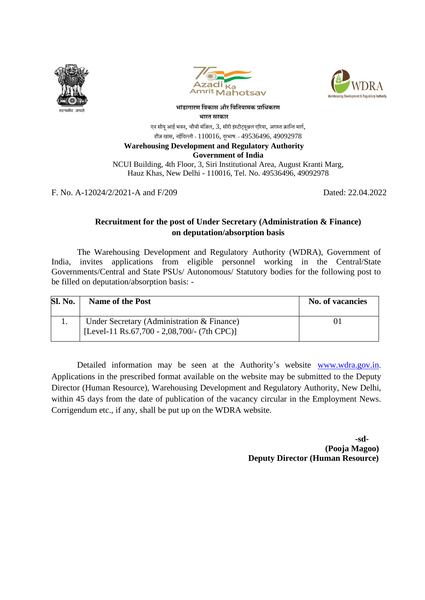





**भाांडागारण विकास और विवियामक प्राविकरण भारत सरकार**

एन सीयू आई भवन, चौथी मंज़िल, 3, सीरी इंस्टीट्यूश्नल एरिया, अगस्त क्रान्ति मार्ग, हौज़ खास, नईदिल्ली - 110016, दुरभाष: - 49536496, 49092978

## **Warehousing Development and Regulatory Authority**

**Government of India**

NCUI Building, 4th Floor, 3, Siri Institutional Area, August Kranti Marg, Hauz Khas, New Delhi - 110016, Tel. No. 49536496, 49092978

F. No. A-12024/2/2021-A and F/209 Dated: 22.04.2022

## **Recruitment for the post of Under Secretary (Administration & Finance) on deputation/absorption basis**

The Warehousing Development and Regulatory Authority (WDRA), Government of India, invites applications from eligible personnel working in the Central/State Governments/Central and State PSUs/ Autonomous/ Statutory bodies for the following post to be filled on deputation/absorption basis: -

| <b>Sl. No.</b> | <b>Name of the Post</b>                                                                   | <b>No. of vacancies</b> |
|----------------|-------------------------------------------------------------------------------------------|-------------------------|
|                | Under Secretary (Administration & Finance)<br>[Level-11 Rs.67,700 - 2,08,700/- (7th CPC)] |                         |
|                |                                                                                           |                         |

Detailed information may be seen at the Authority's website [www.wdra.gov.in](http://www.wdra.gov.in/). Applications in the prescribed format available on the website may be submitted to the Deputy Director (Human Resource), Warehousing Development and Regulatory Authority, New Delhi, within 45 days from the date of publication of the vacancy circular in the Employment News. Corrigendum etc., if any, shall be put up on the WDRA website.

 **-sd- (Pooja Magoo) Deputy Director (Human Resource)**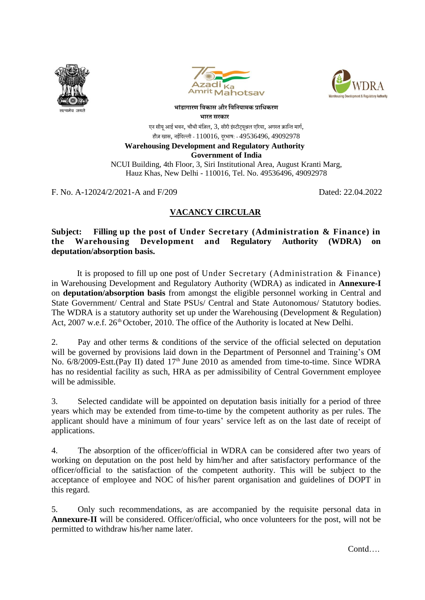





**भाांडागारण विकास और विवियामक प्राविकरण भारत सरकार**

एन सीयू आई भवन, चौथी मंज़िल, 3, सीरी इंस्टीटयुश्नल एरिया, अगस्त क्रान्ति मार्ग, हौज़ खास, नईदिल्ली -  $110016$ , दूरभाष: -  $49536496$ ,  $49092978$ 

## **Warehousing Development and Regulatory Authority**

**Government of India**

NCUI Building, 4th Floor, 3, Siri Institutional Area, August Kranti Marg, Hauz Khas, New Delhi - 110016, Tel. No. 49536496, 49092978

F. No. A-12024/2/2021-A and F/209 Dated: 22.04.2022

## **VACANCY CIRCULAR**

**Subject: Filling up the post of Under Secretary (Administration & Finance) in the Warehousing Development and Regulatory Authority (WDRA) on deputation/absorption basis.**

It is proposed to fill up one post of Under Secretary (Administration & Finance) in Warehousing Development and Regulatory Authority (WDRA) as indicated in **Annexure-I** on **deputation/absorption basis** from amongst the eligible personnel working in Central and State Government/ Central and State PSUs/ Central and State Autonomous/ Statutory bodies. The WDRA is a statutory authority set up under the Warehousing (Development & Regulation) Act, 2007 w.e.f. 26<sup>th</sup> October, 2010. The office of the Authority is located at New Delhi.

2. Pay and other terms & conditions of the service of the official selected on deputation will be governed by provisions laid down in the Department of Personnel and Training's OM No. 6/8/2009-Estt.(Pay II) dated 17<sup>th</sup> June 2010 as amended from time-to-time. Since WDRA has no residential facility as such, HRA as per admissibility of Central Government employee will be admissible.

3. Selected candidate will be appointed on deputation basis initially for a period of three years which may be extended from time-to-time by the competent authority as per rules. The applicant should have a minimum of four years' service left as on the last date of receipt of applications.

4. The absorption of the officer/official in WDRA can be considered after two years of working on deputation on the post held by him/her and after satisfactory performance of the officer/official to the satisfaction of the competent authority. This will be subject to the acceptance of employee and NOC of his/her parent organisation and guidelines of DOPT in this regard.

5. Only such recommendations, as are accompanied by the requisite personal data in Annexure-II will be considered. Officer/official, who once volunteers for the post, will not be permitted to withdraw his/her name later.

Contd….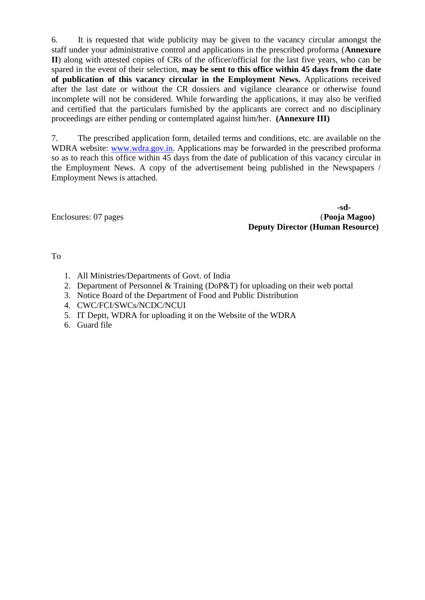6. It is requested that wide publicity may be given to the vacancy circular amongst the staff under your administrative control and applications in the prescribed proforma (**Annexure II**) along with attested copies of CRs of the officer/official for the last five years, who can be spared in the event of their selection, **may be sent to this office within 45 days from the date of publication of this vacancy circular in the Employment News.** Applications received after the last date or without the CR dossiers and vigilance clearance or otherwise found incomplete will not be considered. While forwarding the applications, it may also be verified and certified that the particulars furnished by the applicants are correct and no disciplinary proceedings are either pending or contemplated against him/her. **(Annexure III)**

7. The prescribed application form, detailed terms and conditions, etc. are available on the WDRA website: [www.wdra.gov.in.](http://www.wdra.gov.in/) Applications may be forwarded in the prescribed proforma so as to reach this office within 45 days from the date of publication of this vacancy circular in the Employment News. A copy of the advertisement being published in the Newspapers / Employment News is attached.

Enclosures: 07 pages

**-sd-Deputy Director (Human Resource)**

### To

- 1. All Ministries/Departments of Govt. of India
- 2. Department of Personnel & Training (DoP&T) for uploading on their web portal
- 3. Notice Board of the Department of Food and Public Distribution
- 4. CWC/FCI/SWCs/NCDC/NCUI
- 5. IT Deptt, WDRA for uploading it on the Website of the WDRA
- 6. Guard file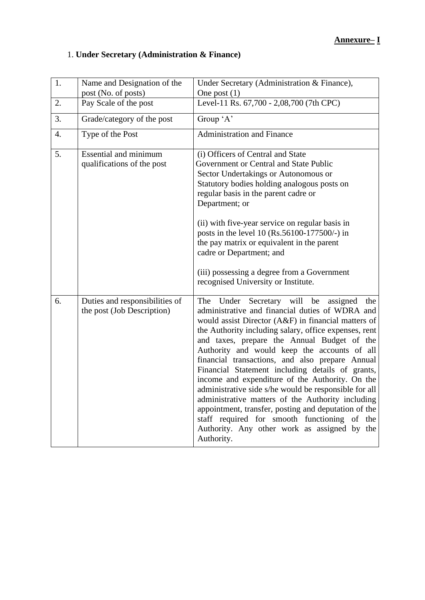## **Annexure– I**

# 1. **Under Secretary (Administration & Finance)**

| 1. | Name and Designation of the                                  | Under Secretary (Administration & Finance),                                                                                                                                                                                                                                                                                                                                                                                                                                                                                                                                                                                                                                                                                                                    |  |  |
|----|--------------------------------------------------------------|----------------------------------------------------------------------------------------------------------------------------------------------------------------------------------------------------------------------------------------------------------------------------------------------------------------------------------------------------------------------------------------------------------------------------------------------------------------------------------------------------------------------------------------------------------------------------------------------------------------------------------------------------------------------------------------------------------------------------------------------------------------|--|--|
| 2. | post (No. of posts)<br>Pay Scale of the post                 | One post $(1)$<br>Level-11 Rs. 67,700 - 2,08,700 (7th CPC)                                                                                                                                                                                                                                                                                                                                                                                                                                                                                                                                                                                                                                                                                                     |  |  |
| 3. | Grade/category of the post                                   | Group 'A'                                                                                                                                                                                                                                                                                                                                                                                                                                                                                                                                                                                                                                                                                                                                                      |  |  |
| 4. | Type of the Post                                             | <b>Administration and Finance</b>                                                                                                                                                                                                                                                                                                                                                                                                                                                                                                                                                                                                                                                                                                                              |  |  |
| 5. | <b>Essential and minimum</b><br>qualifications of the post   | (i) Officers of Central and State<br>Government or Central and State Public<br>Sector Undertakings or Autonomous or<br>Statutory bodies holding analogous posts on<br>regular basis in the parent cadre or<br>Department; or<br>(ii) with five-year service on regular basis in<br>posts in the level 10 (Rs.56100-177500/-) in<br>the pay matrix or equivalent in the parent<br>cadre or Department; and                                                                                                                                                                                                                                                                                                                                                      |  |  |
|    |                                                              | (iii) possessing a degree from a Government<br>recognised University or Institute.                                                                                                                                                                                                                                                                                                                                                                                                                                                                                                                                                                                                                                                                             |  |  |
| 6. | Duties and responsibilities of<br>the post (Job Description) | The Under Secretary will be<br>assigned<br>the<br>administrative and financial duties of WDRA and<br>would assist Director (A&F) in financial matters of<br>the Authority including salary, office expenses, rent<br>and taxes, prepare the Annual Budget of the<br>Authority and would keep the accounts of all<br>financial transactions, and also prepare Annual<br>Financial Statement including details of grants,<br>income and expenditure of the Authority. On the<br>administrative side s/he would be responsible for all<br>administrative matters of the Authority including<br>appointment, transfer, posting and deputation of the<br>staff required for smooth functioning of the<br>Authority. Any other work as assigned by the<br>Authority. |  |  |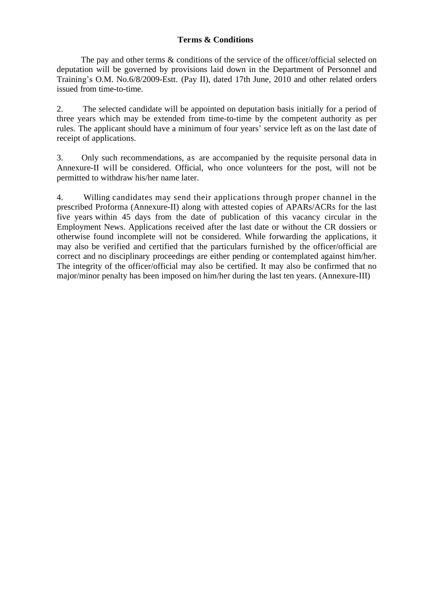## **Terms & Conditions**

The pay and other terms & conditions of the service of the officer/official selected on deputation will be governed by provisions laid down in the Department of Personnel and Training's O.M. No.6/8/2009-Estt. (Pay II), dated 17th June, 2010 and other related orders issued from time-to-time.

2. The selected candidate will be appointed on deputation basis initially for a period of three years which may be extended from time-to-time by the competent authority as per rules. The applicant should have a minimum of four years' service left as on the last date of receipt of applications.

3. Only such recommendations, as are accompanied by the requisite personal data in Annexure-II will be considered. Official, who once volunteers for the post, will not be permitted to withdraw his/her name later.

4. Willing candidates may send their applications through proper channel in the prescribed Proforma (Annexure-II) along with attested copies of APARs/ACRs for the last five years within 45 days from the date of publication of this vacancy circular in the Employment News. Applications received after the last date or without the CR dossiers or otherwise found incomplete will not be considered. While forwarding the applications, it may also be verified and certified that the particulars furnished by the officer/official are correct and no disciplinary proceedings are either pending or contemplated against him/her. The integrity of the officer/official may also be certified. It may also be confirmed that no major/minor penalty has been imposed on him/her during the last ten years. (Annexure-III)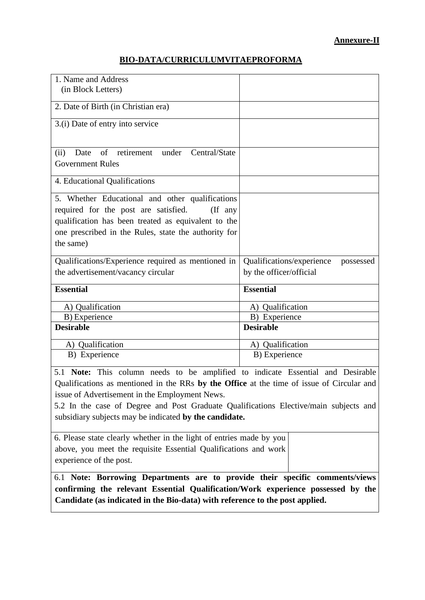## **Annexure-II**

## **BIO-DATA/CURRICULUMVITAEPROFORMA**

| 1. Name and Address<br>(in Block Letters)                                                                                                                                                                                                                                                                                                                                         |                                                                   |  |  |
|-----------------------------------------------------------------------------------------------------------------------------------------------------------------------------------------------------------------------------------------------------------------------------------------------------------------------------------------------------------------------------------|-------------------------------------------------------------------|--|--|
| 2. Date of Birth (in Christian era)                                                                                                                                                                                                                                                                                                                                               |                                                                   |  |  |
| 3.(i) Date of entry into service                                                                                                                                                                                                                                                                                                                                                  |                                                                   |  |  |
| of retirement under Central/State<br>(ii)<br>Date<br><b>Government Rules</b>                                                                                                                                                                                                                                                                                                      |                                                                   |  |  |
| 4. Educational Qualifications                                                                                                                                                                                                                                                                                                                                                     |                                                                   |  |  |
| 5. Whether Educational and other qualifications<br>required for the post are satisfied.<br>$($ If any<br>qualification has been treated as equivalent to the<br>one prescribed in the Rules, state the authority for<br>the same)                                                                                                                                                 |                                                                   |  |  |
| Qualifications/Experience required as mentioned in<br>the advertisement/vacancy circular                                                                                                                                                                                                                                                                                          | Qualifications/experience<br>possessed<br>by the officer/official |  |  |
| <b>Essential</b>                                                                                                                                                                                                                                                                                                                                                                  | <b>Essential</b>                                                  |  |  |
| A) Qualification                                                                                                                                                                                                                                                                                                                                                                  | A) Qualification                                                  |  |  |
| B) Experience                                                                                                                                                                                                                                                                                                                                                                     | B) Experience                                                     |  |  |
| <b>Desirable</b>                                                                                                                                                                                                                                                                                                                                                                  | <b>Desirable</b>                                                  |  |  |
| A) Qualification                                                                                                                                                                                                                                                                                                                                                                  | A) Qualification                                                  |  |  |
| B) Experience                                                                                                                                                                                                                                                                                                                                                                     | B) Experience                                                     |  |  |
| 5.1 Note: This column needs to be amplified to indicate Essential and Desirable<br>Qualifications as mentioned in the RRs by the Office at the time of issue of Circular and<br>issue of Advertisement in the Employment News.<br>5.2 In the case of Degree and Post Graduate Qualifications Elective/main subjects and<br>subsidiary subjects may be indicated by the candidate. |                                                                   |  |  |
| 6. Please state clearly whether in the light of entries made by you<br>above, you meet the requisite Essential Qualifications and work<br>experience of the post.                                                                                                                                                                                                                 |                                                                   |  |  |
| 6.1 Note: Borrowing Departments are to provide their specific comments/views<br>confirming the relevant Essential Qualification/Work experience possessed by the<br>Candidate (as indicated in the Bio-data) with reference to the post applied.                                                                                                                                  |                                                                   |  |  |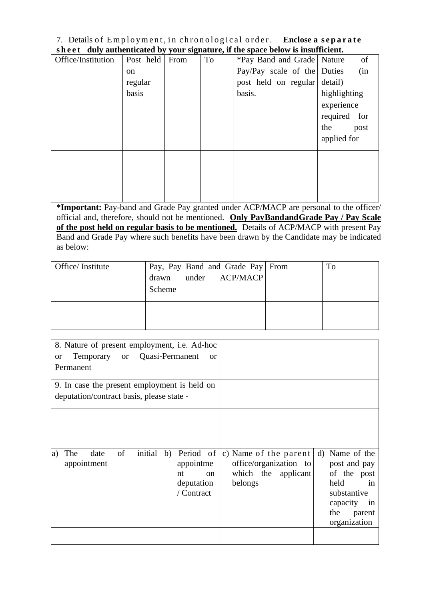#### 7. Details of Employment, in chronological order. Enclose a separate **s h eet duly authenticated by your signature, if the space below is insufficient.**

|                    |           |      | any authenticated by your biginities of the space below to mountelent. |                              |              |
|--------------------|-----------|------|------------------------------------------------------------------------|------------------------------|--------------|
| Office/Institution | Post held | From | To                                                                     | *Pay Band and Grade   Nature | of           |
|                    | on        |      |                                                                        | Pay/Pay scale of the Duties  | (in          |
|                    | regular   |      |                                                                        | post held on regular detail) |              |
|                    | basis     |      |                                                                        | basis.                       | highlighting |
|                    |           |      |                                                                        |                              | experience   |
|                    |           |      |                                                                        |                              | required for |
|                    |           |      |                                                                        |                              | the<br>post  |
|                    |           |      |                                                                        |                              | applied for  |
|                    |           |      |                                                                        |                              |              |
|                    |           |      |                                                                        |                              |              |
|                    |           |      |                                                                        |                              |              |
|                    |           |      |                                                                        |                              |              |
|                    |           |      |                                                                        |                              |              |

**\*Important:** Pay-band and Grade Pay granted under ACP/MACP are personal to the officer/ official and, therefore, should not be mentioned. **Only PayBandandGrade Pay / Pay Scale of the post held on regular basis to be mentioned.** Details of ACP/MACP with present Pay Band and Grade Pay where such benefits have been drawn by the Candidate may be indicated as below:

| Office/Institute | Pay, Pay Band and Grade Pay From<br>drawn under ACP/MACP<br>Scheme | To |
|------------------|--------------------------------------------------------------------|----|
|                  |                                                                    |    |

| 8. Nature of present employment, i.e. Ad-hoc      |                                                                            |                                                                                   |                                                                                                                               |
|---------------------------------------------------|----------------------------------------------------------------------------|-----------------------------------------------------------------------------------|-------------------------------------------------------------------------------------------------------------------------------|
| Temporary or Quasi-Permanent<br><b>or</b>         | or                                                                         |                                                                                   |                                                                                                                               |
| Permanent                                         |                                                                            |                                                                                   |                                                                                                                               |
| 9. In case the present employment is held on      |                                                                            |                                                                                   |                                                                                                                               |
| deputation/contract basis, please state -         |                                                                            |                                                                                   |                                                                                                                               |
|                                                   |                                                                            |                                                                                   |                                                                                                                               |
| of<br>initial<br>The<br>date<br>a)<br>appointment | Period of<br>b)<br>appointme<br>nt<br>$\alpha$<br>deputation<br>/ Contract | c) Name of the parent<br>office/organization to<br>which the applicant<br>belongs | d) Name of the<br>post and pay<br>of the post<br>held<br>in<br>substantive<br>capacity<br>1n<br>the<br>parent<br>organization |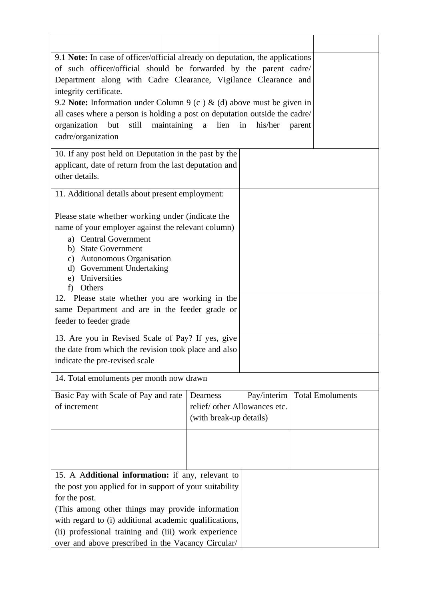| 9.1 Note: In case of officer/official already on deputation, the applications              |                         |                               |        |  |  |  |  |
|--------------------------------------------------------------------------------------------|-------------------------|-------------------------------|--------|--|--|--|--|
| of such officer/official should be forwarded by the parent cadre/                          |                         |                               |        |  |  |  |  |
| Department along with Cadre Clearance, Vigilance Clearance and                             |                         |                               |        |  |  |  |  |
| integrity certificate.                                                                     |                         |                               |        |  |  |  |  |
| 9.2 Note: Information under Column 9 (c) & (d) above must be given in                      |                         |                               |        |  |  |  |  |
| all cases where a person is holding a post on deputation outside the cadre/                |                         |                               |        |  |  |  |  |
| but<br>still maintaining<br>organization                                                   | a                       | lien in<br>his/her            | parent |  |  |  |  |
| cadre/organization                                                                         |                         |                               |        |  |  |  |  |
|                                                                                            |                         |                               |        |  |  |  |  |
| 10. If any post held on Deputation in the past by the                                      |                         |                               |        |  |  |  |  |
| applicant, date of return from the last deputation and                                     |                         |                               |        |  |  |  |  |
| other details.                                                                             |                         |                               |        |  |  |  |  |
|                                                                                            |                         |                               |        |  |  |  |  |
| 11. Additional details about present employment:                                           |                         |                               |        |  |  |  |  |
|                                                                                            |                         |                               |        |  |  |  |  |
| Please state whether working under (indicate the                                           |                         |                               |        |  |  |  |  |
| name of your employer against the relevant column)                                         |                         |                               |        |  |  |  |  |
| a) Central Government                                                                      |                         |                               |        |  |  |  |  |
| b) State Government                                                                        |                         |                               |        |  |  |  |  |
| c) Autonomous Organisation<br>d) Government Undertaking                                    |                         |                               |        |  |  |  |  |
| e) Universities                                                                            |                         |                               |        |  |  |  |  |
| Others<br>f)                                                                               |                         |                               |        |  |  |  |  |
| 12. Please state whether you are working in the                                            |                         |                               |        |  |  |  |  |
| same Department and are in the feeder grade or                                             |                         |                               |        |  |  |  |  |
| feeder to feeder grade                                                                     |                         |                               |        |  |  |  |  |
|                                                                                            |                         |                               |        |  |  |  |  |
| 13. Are you in Revised Scale of Pay? If yes, give                                          |                         |                               |        |  |  |  |  |
| the date from which the revision took place and also                                       |                         |                               |        |  |  |  |  |
| indicate the pre-revised scale                                                             |                         |                               |        |  |  |  |  |
| 14. Total emoluments per month now drawn                                                   |                         |                               |        |  |  |  |  |
| Pay/interim<br><b>Total Emoluments</b><br>Basic Pay with Scale of Pay and rate<br>Dearness |                         |                               |        |  |  |  |  |
| of increment                                                                               |                         | relief/ other Allowances etc. |        |  |  |  |  |
|                                                                                            | (with break-up details) |                               |        |  |  |  |  |
|                                                                                            |                         |                               |        |  |  |  |  |
|                                                                                            |                         |                               |        |  |  |  |  |
|                                                                                            |                         |                               |        |  |  |  |  |
|                                                                                            |                         |                               |        |  |  |  |  |
| 15. A Additional information: if any, relevant to                                          |                         |                               |        |  |  |  |  |
| the post you applied for in support of your suitability                                    |                         |                               |        |  |  |  |  |
|                                                                                            |                         |                               |        |  |  |  |  |
| for the post.                                                                              |                         |                               |        |  |  |  |  |
| (This among other things may provide information                                           |                         |                               |        |  |  |  |  |
| with regard to (i) additional academic qualifications,                                     |                         |                               |        |  |  |  |  |
| (ii) professional training and (iii) work experience                                       |                         |                               |        |  |  |  |  |
| over and above prescribed in the Vacancy Circular/                                         |                         |                               |        |  |  |  |  |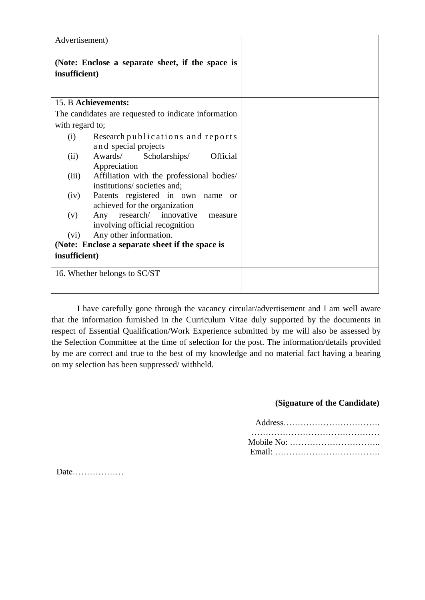| Advertisement)                                                                       |  |
|--------------------------------------------------------------------------------------|--|
| (Note: Enclose a separate sheet, if the space is<br>insufficient)                    |  |
| 15. B Achievements:                                                                  |  |
| The candidates are requested to indicate information                                 |  |
| with regard to;                                                                      |  |
| Research publications and reports<br>(i)<br>and special projects                     |  |
| Awards/<br>Scholarships/<br><b>Official</b><br>(ii)<br>Appreciation                  |  |
| (iii)<br>Affiliation with the professional bodies/<br>institutions/societies and;    |  |
| Patents registered in own name<br>(iv)<br><b>or</b><br>achieved for the organization |  |
| Any research/ innovative<br>(v)<br>measure<br>involving official recognition         |  |
| Any other information.<br>(vi)                                                       |  |
| (Note: Enclose a separate sheet if the space is                                      |  |
| insufficient)                                                                        |  |
| 16. Whether belongs to SC/ST                                                         |  |

I have carefully gone through the vacancy circular/advertisement and I am well aware that the information furnished in the Curriculum Vitae duly supported by the documents in respect of Essential Qualification/Work Experience submitted by me will also be assessed by the Selection Committee at the time of selection for the post. The information/details provided by me are correct and true to the best of my knowledge and no material fact having a bearing on my selection has been suppressed/ withheld.

#### **(Signature of the Candidate)**

Date………………